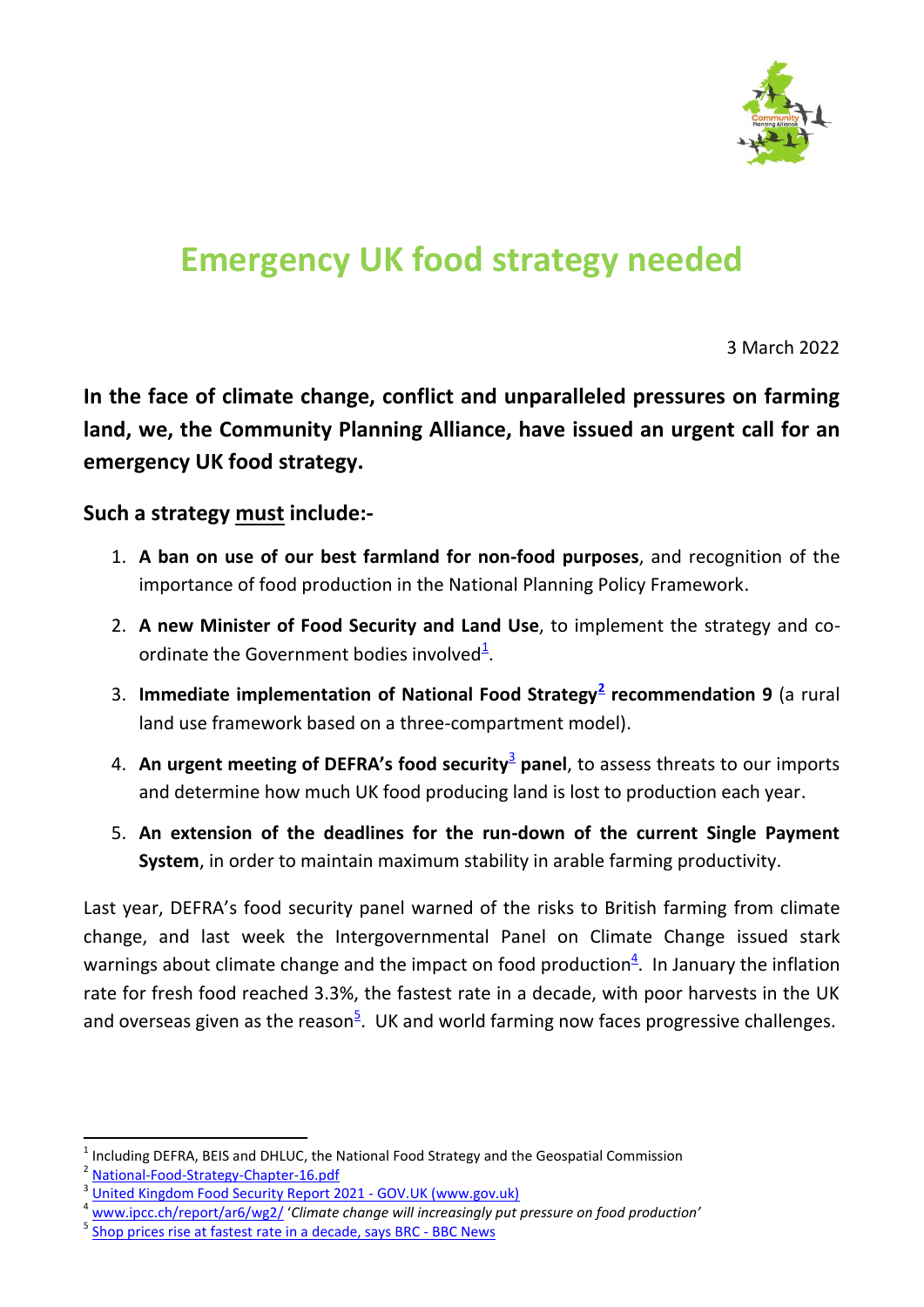

## **Emergency UK food strategy needed**

3 March 2022

**In the face of climate change, conflict and unparalleled pressures on farming land, we, the Community Planning Alliance, have issued an urgent call for an emergency UK food strategy.**

## **Such a strategy must include:-**

- 1. **A ban on use of our best farmland for non-food purposes**, and recognition of the importance of food production in the National Planning Policy Framework.
- 2. **A new Minister of Food Security and Land Use**, to implement the strategy and coordinate the Government bodies involved $^{\underline{1}}$ .
- 3. **Immediate implementation of National Food Strategy<sup>2</sup> recommendation 9** (a rural land use framework based on a three-compartment model).
- 4. An urgent meeting of DEFRA's food security<sup>3</sup> panel, to assess threats to our imports and determine how much UK food producing land is lost to production each year.
- 5. **An extension of the deadlines for the run-down of the current Single Payment System**, in order to maintain maximum stability in arable farming productivity.

Last year, DEFRA's food security panel warned of the risks to British farming from climate change, and last week the Intergovernmental Panel on Climate Change issued stark warnings about climate change and the impact on food production $4$ . In January the inflation rate for fresh food reached 3.3%, the fastest rate in a decade, with poor harvests in the UK and overseas given as the reason<sup>5</sup>. UK and world farming now faces progressive challenges.

 $\ddot{\phantom{a}}$ 

<sup>1</sup> Including DEFRA, BEIS and DHLUC, the National Food Strategy and the Geospatial Commission

<sup>2</sup> [National-Food-Strategy-Chapter-16.pdf](file:///C:/Users/compa/Downloads/National-Food-Strategy-Chapter-16.pdf)

<sup>3</sup> [United Kingdom Food Security Report 2021 -](https://www.gov.uk/government/statistics/united-kingdom-food-security-report-2021) GOV.UK (www.gov.uk)

[www.ipcc.ch/report/ar6/wg2/](http://www.ipcc.ch/report/ar6/wg2/) 'Climate change will increasingly put pressure on food production'

<sup>5</sup> [Shop prices rise at fastest rate in a decade, says BRC -](https://www.bbc.co.uk/news/business-60579639) BBC News